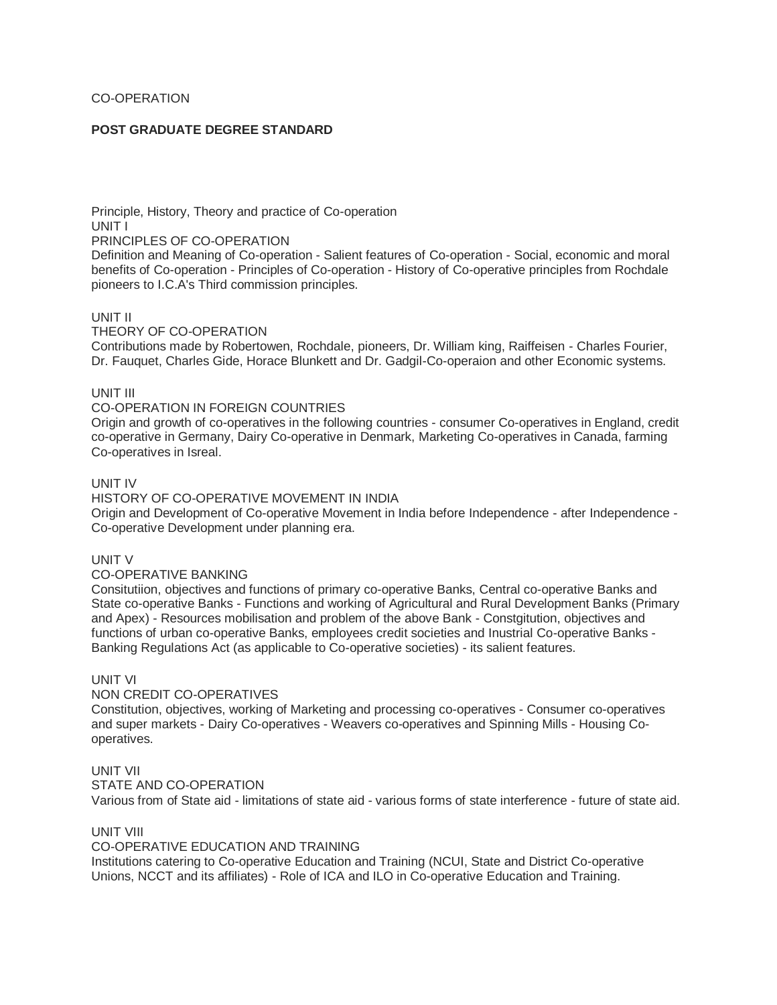# CO-OPERATION

# **POST GRADUATE DEGREE STANDARD**

Principle, History, Theory and practice of Co-operation UNIT I

PRINCIPLES OF CO-OPERATION

Definition and Meaning of Co-operation - Salient features of Co-operation - Social, economic and moral benefits of Co-operation - Principles of Co-operation - History of Co-operative principles from Rochdale pioneers to I.C.A's Third commission principles.

## UNIT II

THEORY OF CO-OPERATION

Contributions made by Robertowen, Rochdale, pioneers, Dr. William king, Raiffeisen - Charles Fourier, Dr. Fauquet, Charles Gide, Horace Blunkett and Dr. Gadgil-Co-operaion and other Economic systems.

## UNIT III

## CO-OPERATION IN FOREIGN COUNTRIES

Origin and growth of co-operatives in the following countries - consumer Co-operatives in England, credit co-operative in Germany, Dairy Co-operative in Denmark, Marketing Co-operatives in Canada, farming Co-operatives in Isreal.

## UNIT IV

## HISTORY OF CO-OPERATIVE MOVEMENT IN INDIA

Origin and Development of Co-operative Movement in India before Independence - after Independence - Co-operative Development under planning era.

## UNIT V

## CO-OPERATIVE BANKING

Consitutiion, objectives and functions of primary co-operative Banks, Central co-operative Banks and State co-operative Banks - Functions and working of Agricultural and Rural Development Banks (Primary and Apex) - Resources mobilisation and problem of the above Bank - Constgitution, objectives and functions of urban co-operative Banks, employees credit societies and Inustrial Co-operative Banks - Banking Regulations Act (as applicable to Co-operative societies) - its salient features.

# UNIT VI

### NON CREDIT CO-OPERATIVES

Constitution, objectives, working of Marketing and processing co-operatives - Consumer co-operatives and super markets - Dairy Co-operatives - Weavers co-operatives and Spinning Mills - Housing Cooperatives.

## UNIT VII

STATE AND CO-OPERATION

Various from of State aid - limitations of state aid - various forms of state interference - future of state aid.

## UNIT VIII

## CO-OPERATIVE EDUCATION AND TRAINING

Institutions catering to Co-operative Education and Training (NCUI, State and District Co-operative Unions, NCCT and its affiliates) - Role of ICA and ILO in Co-operative Education and Training.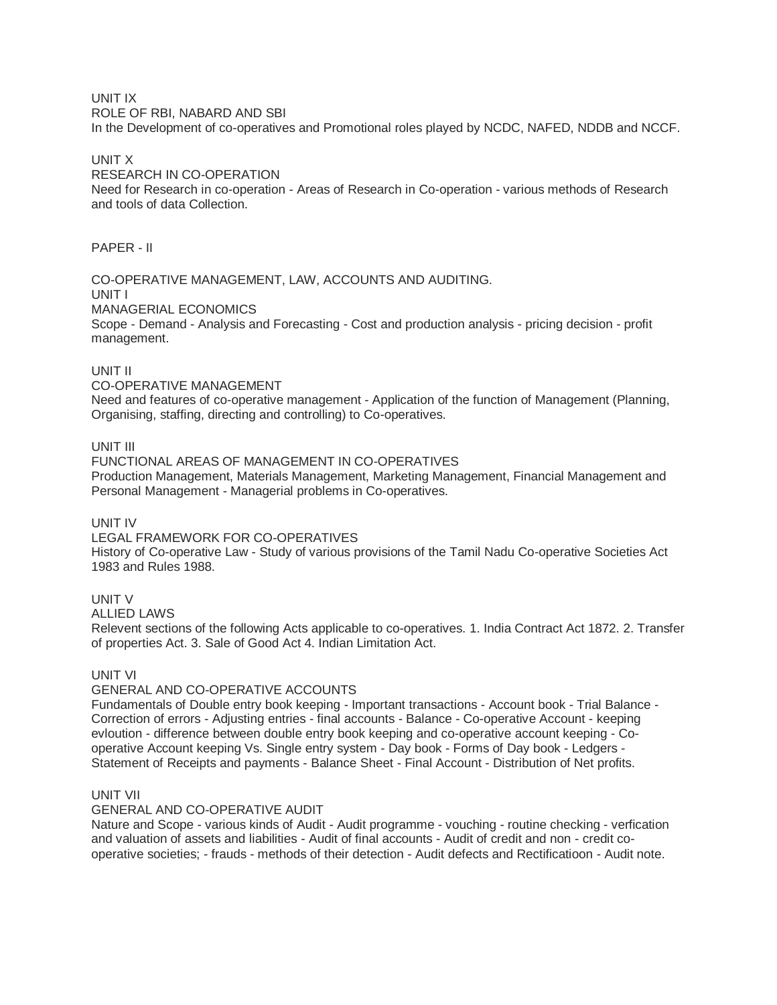# UNIT IX

ROLE OF RBI, NABARD AND SBI

In the Development of co-operatives and Promotional roles played by NCDC, NAFED, NDDB and NCCF.

## UNIT X

## RESEARCH IN CO-OPERATION

Need for Research in co-operation - Areas of Research in Co-operation - various methods of Research and tools of data Collection.

# PAPER - II

#### CO-OPERATIVE MANAGEMENT, LAW, ACCOUNTS AND AUDITING. UNIT I

## MANAGERIAL ECONOMICS

Scope - Demand - Analysis and Forecasting - Cost and production analysis - pricing decision - profit management.

## UNIT II

## CO-OPERATIVE MANAGEMENT

Need and features of co-operative management - Application of the function of Management (Planning, Organising, staffing, directing and controlling) to Co-operatives.

## UNIT III

FUNCTIONAL AREAS OF MANAGEMENT IN CO-OPERATIVES Production Management, Materials Management, Marketing Management, Financial Management and Personal Management - Managerial problems in Co-operatives.

# UNIT IV

# LEGAL FRAMEWORK FOR CO-OPERATIVES

History of Co-operative Law - Study of various provisions of the Tamil Nadu Co-operative Societies Act 1983 and Rules 1988.

## UNIT V

ALLIED LAWS

Relevent sections of the following Acts applicable to co-operatives. 1. India Contract Act 1872. 2. Transfer of properties Act. 3. Sale of Good Act 4. Indian Limitation Act.

## UNIT VI

## GENERAL AND CO-OPERATIVE ACCOUNTS

Fundamentals of Double entry book keeping - Important transactions - Account book - Trial Balance - Correction of errors - Adjusting entries - final accounts - Balance - Co-operative Account - keeping evloution - difference between double entry book keeping and co-operative account keeping - Cooperative Account keeping Vs. Single entry system - Day book - Forms of Day book - Ledgers - Statement of Receipts and payments - Balance Sheet - Final Account - Distribution of Net profits.

## UNIT VII

## GENERAL AND CO-OPERATIVE AUDIT

Nature and Scope - various kinds of Audit - Audit programme - vouching - routine checking - verfication and valuation of assets and liabilities - Audit of final accounts - Audit of credit and non - credit cooperative societies; - frauds - methods of their detection - Audit defects and Rectificatioon - Audit note.